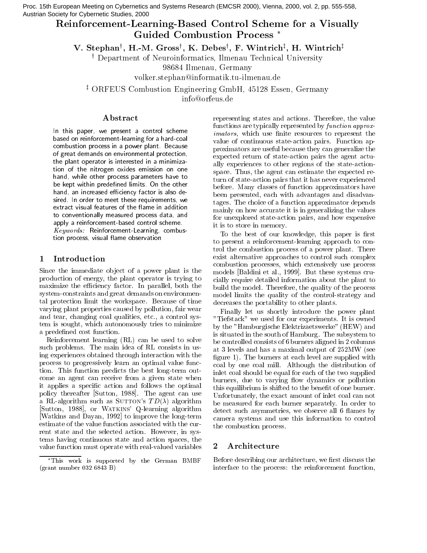Proc. 15th European Meeting on Cybernetics and Systems Research (EMCSR 2000), Vienna, 2000, vol. 2, pp. 555-558, Austrian Society for Cybernetic Studies, 2000

# Reinforcement-Learning-Based Control Scheme for a Visually **Guided Combustion Process** \*

V. Stephan<sup>†</sup>, H.-M. Gross<sup>†</sup>, K. Debes<sup>†</sup>, F. Wintrich<sup>‡</sup>, H. Wintrich<sup>‡</sup>

<sup>†</sup> Department of Neuroinformatics, Ilmenau Technical University

98684 Ilmenau, Germany

volker.stephan@informatik.tu-ilmenau.de

<sup>‡</sup> ORFEUS Combustion Engineering GmbH, 45128 Essen, Germany

info@orfeus.de

# Abstract

In this paper, we present a control scheme based on reinforcement-learning for a hard-coal combustion process in a power plant. Because of great demands on environmental protection, the plant operator is interested in a minimization of the nitrogen oxides emission on one hand, while other process parameters have to be kept within predefined limits. On the other hand, an increased efficiency factor is also desired. In order to meet these requirements, we extract visual features of the flame in addition to conventionally measured process data, and apply a reinforcement-based control scheme. Keywords: Reinforcement-Learning, combustion process, visual flame observation

# Introduction  $\mathbf{1}$

Since the immediate object of a power plant is the production of energy, the plant operator is trying to maximize the efficiency factor. In parallel, both the system-constraints and great demands on environmental protection limit the workspace. Because of time varying plant properties caused by pollution, fair wear and tear, changing coal qualities, etc., a control system is sought, which autonomously tries to minimize a predefined cost function.

Reinforcement learning (RL) can be used to solve such problems. The main idea of RL consists in using experiences obtained through interaction with the process to progressively learn an optimal value function. This function predicts the best long-term outcome an agent can receive from a given state when it applies a specific action and follows the optimal policy thereafter [Sutton, 1988]. The agent can use a RL-algorithm such as SUTTON's  $TD(\lambda)$  algorithm [Sutton, 1988], or WATKINS' Q-learning algorithm Watkins and Dayan, 1992 to improve the long-term estimate of the value function associated with the current state and the selected action. However, in systems having continuous state and action spaces, the value function must operate with real-valued variables

representing states and actions. Therefore, the value functions are typically represented by function approx*imators*, which use finite resources to represent the value of continuous state-action pairs. Function approximators are useful because they can generalize the expected return of state-action pairs the agent actually experiences to other regions of the state-actionspace. Thus, the agent can estimate the expected return of state-action pairs that it has never experienced before. Many classes of function approximators have been presented, each with advantages and disadvantages. The choice of a function approximator depends mainly on how accurate it is in generalizing the values for unexplored state-action pairs, and how expensive it is to store in memory.

To the best of our knowledge, this paper is first to present a reinforcement-learning approach to control the combustion process of a power plant. There exist alternative approaches to control such complex combustion processes, which extensively use process models [Baldini et al., 1999]. But these systems crucially require detailed information about the plant to build the model. Therefore, the quality of the process model limits the quality of the control-strategy and decreases the portability to other plants.

Finally let us shortly introduce the power plant "Tiefstack" we used for our experiments. It is owned by the "Hamburgische Elektrizaetswerke" (HEW) and is situated in the south of Hamburg. The subsystem to be controlled consists of 6 burners aligned in 2 columns at 3 levels and has a maximal output of 252MW (see figure 1). The burners at each level are supplied with coal by one coal mill. Although the distribution of inlet coal should be equal for each of the two supplied burners, due to varying flow dynamics or pollution this equilibrium is shifted to the benefit of one burner. Unfortunately, the exact amount of inlet coal can not be measured for each burner separately. In order to detect such asymmetries, we observe all 6 flames by camera systems and use this information to control the combustion process.

# Architecture  $\overline{2}$

Before describing our architecture, we first discuss the interface to the process: the reinforcement function,

This work is supported by the German BMBF  $(\text{grant number } 032 6843 B)$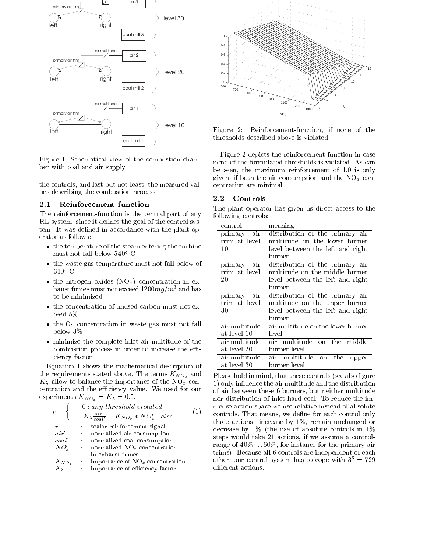

Figure 1: Schematical view of the combustion chamber with coal and air supply.

the controls, and last but not least, the measured values describing the combustion process.

#### $2.1$ Reinforcement-function

The reinforcement-function is the central part of any RL-system, since it defines the goal of the control system. It was defined in accordance with the plant operator as follows:

- the temperature of the steam entering the turbine must not fall below  $540^{\circ}$  C
- the waste gas temperature must not fall below of  $340^{\circ}$  C
- the nitrogen oxides  $(NO<sub>x</sub>)$  concentration in exhaust fumes must not exceed  $1200mg/m^3$  and has to be minimized
- the concentration of unused carbon must not exceed  $5\%$
- the  $O_2$  concentration in waste gas must not fall below 3\%
- minimize the complete inlet air multitude of the combustion process in order to increase the efficiency factor

Equation 1 shows the mathematical description of the requirements stated above. The terms  $K_{NO<sub>n</sub>}$  and  $K_{\lambda}$  allow to balance the importance of the NO<sub>x</sub> concentration and the efficiency value. We used for our experiments  $K_{NO_x} = K_{\lambda} = 0.5$ .

$$
r = \begin{cases} 0: any threshold violated \\ 1 - K_{\lambda} \frac{air'}{coal'} - K_{NO_x} * NO_x' : else \end{cases} \tag{1}
$$
  
\n
$$
r : scalar reinforcement signal
$$
  
\n
$$
air' : normalized air consumption
$$
  
\n
$$
col' : normalized col consumption
$$
  
\n
$$
NO_x' : normalized NO_x concentration
$$
  
\nin exhaust fumes  
\n
$$
K_{NO_x} : importance of encoefficient
$$
  
\n
$$
K_{\lambda} : importance of efficiency factor
$$



Figure 2: Reinforcement-function, if none of the thresholds described above is violated.

Figure 2 depicts the reinforcement-function in case none of the formulated thresholds is violated. As can be seen, the maximum reinforcement of 1.0 is only given, if both the air consumption and the  $NO_x$  concentration are minimal.

#### $2.2$ Controls

The plant operator has given us direct access to the following controls:

| control       | meaning                           |
|---------------|-----------------------------------|
| primary air   | distribution of the primary air   |
| trim at level | multitude on the lower burner     |
| 10            | level between the left and right  |
|               | burner                            |
| primary air   | distribution of the primary air   |
| trim at level | multitude on the middle burner    |
| 20            | level between the left and right  |
|               | burner                            |
| primary air   | distribution of the primary air   |
| trim at level | multitude on the upper burner     |
| 30            | level between the left and right  |
|               | burner                            |
| air multitude | air multitude on the lower burner |
| at level 10   | level                             |
| air multitude | multitude on the<br>air<br>middle |
| at level 20   | burner level                      |
| air multitude | air multitude on the<br>upper     |
| at level 30   | burner level                      |

Please hold in mind, that these controls (see also figure 1) only influence the air multitude and the distribution of air between these 6 burners, but neither multitude nor distribution of inlet hard-coal! To reduce the immense action space we use relative instead of absolute controls. That means, we define for each control only three actions: increase by  $1\%$ , remain unchanged or decrease by  $1\%$  (the use of absolute controls in  $1\%$ steps would take 21 actions, if we assume a controlrange of  $40\% \dots 60\%$ , for instance for the primary air trims). Because all 6 controls are independent of each other, our control system has to cope with  $3^6 = 729$ different actions.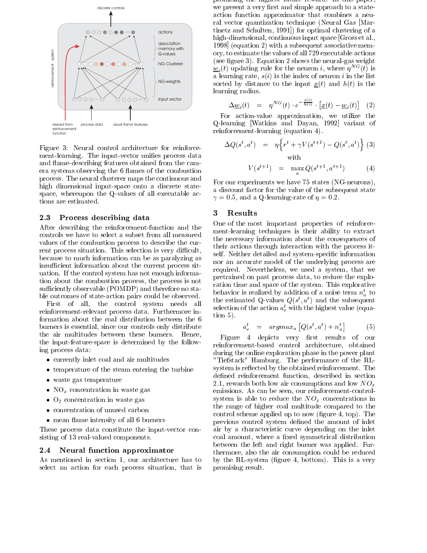

Figure 3: Neural control architecture for reinforcement-learning. The input-vector unifies process data and flame-describing features obtained from the camera systems observing the 6 flames of the combustion process. The neural clusterer maps the continuous and high dimensional input-space onto a discrete statespace, whereupon the Q-values of all executable actions are estimated.

#### Process describing data  $\bf 2.3$

After describing the reinforcement-function and the controls we have to select a subset from all measured values of the combustion process to describe the current process situation. This selection is very difficult, because to much information can be as paralyzing as insufficient information about the current process situation. If the control system has not enough information about the combustion process, the process is not sufficiently observable (POMDP) and therefore no stable outcomes of state-action pairs could be observed.

First of all, the control system needs all reinforcement-relevant process data. Furthermore information about the coal distribution between the 6 burners is essential, since our controls only distribute the air multitudes between these burners. Hence, the input-feature-space is determined by the following process data:

- currently inlet coal and air multitudes
- temperature of the steam entering the turbine
- waste gas temperature
- $NO_x$  concentration in waste gas
- $\bullet$  O<sub>2</sub> concentration in waste gas
- concentration of unused carbon
- mean flame intensity of all 6 burners

These process data constitute the input-vector consisting of 13 real-valued components.

#### Neural function approximator  $\bf 2.4$

As mentioned in section 1, our architecture has to select an action for each process situation, that is

promising the ingliest ruture reward. In this paper, we present a very first and simple approach to a stateaction function approximator that combines a neural vector quantization technique (Neural Gas [Martinetz and Schulten, 1991) for optimal clustering of a high-dimensional, continuous input space [Gross et al., 1998 (equation 2) with a subsequent associative memory, to estimate the values of all 729 executable actions (see figure 3). Equation 2 shows the neural-gas weight  $\underline{w}_i(t)$  updating rule for the neuron *i*, where  $\eta^{NG}(t)$  is a learning rate,  $s(i)$  is the index of neuron i in the list sorted by distance to the input  $\underline{x}(t)$  and  $h(t)$  is the learning radius.

$$
\Delta \underline{w}_i(t) = \eta^{NG}(t) \cdot e^{-\frac{s(t)}{h(t)}} \cdot \left[ \underline{x}(t) - \underline{w}_i(t) \right] \quad (2)
$$

For action-value approximation, we utilize the Q-learning [Watkins and Dayan, 1992] variant of reinforcement-learning (equation 4).

$$
\Delta Q(s^t, a^t) = \eta \Big\{ r^t + \gamma V(s^{t+1}) - Q(s^t, a^t) \Big\} \tag{3}
$$
  
with  

$$
V(s^{t+1}) = \max_{s \in \mathcal{S}} Q(s^{t+1}, a^{t+1}) \tag{4}
$$

For our experiments we have 75 states (NG-neurons). a discount factor for the value of the subsequent state  $\gamma = 0.5$ , and a Q-learning-rate of  $\eta = 0.2$ .

## Results 3

One of the most important properties of reinforcement-learning techniques is their ability to extract the necessary information about the consequences of their actions through interaction with the process itself. Neither detailed and system-specific information nor an accurate model of the underlying process are required. Nevertheless, we used a system, that we pretrained on past process data, to reduce the exploration time and space of the system. This explorative behavior is realized by addition of a noise term  $n_a^t$  to the estimated Q-values  $Q(s^t, a^t)$  and the subsequent selection of the action  $a_{\varepsilon}^{t}$  with the highest value (equa- $\frac{1}{100}$ .

$$
a_e^t = argmax_a [Q(s^t, a^t) + n_a^t] \tag{5}
$$

Figure 4 depicts very first results of our reinforcement-based control architecture, obtained during the online exploration phase in the power plant "Tiefstack" Hamburg. The performance of the RLsystem is reflected by the obtained reinforcement. The defined reinforcement function, described in section 2.1, rewards both low air consumptions and low  $NO_x$ emissions. As can be seen, our reinforcement-controlsystem is able to reduce the  $NO_x$  concentrations in the range of higher coal multitude compared to the control scheme applied up to now (figure 4, top). The previous control system defined the amount of inlet air by a characteristic curve depending on the inlet coal amount, where a fixed symmetrical distribution between the left and right burner was applied. Furthermore, also the air consumption could be reduced by the RL-system (figure 4, bottom). This is a very promising result.